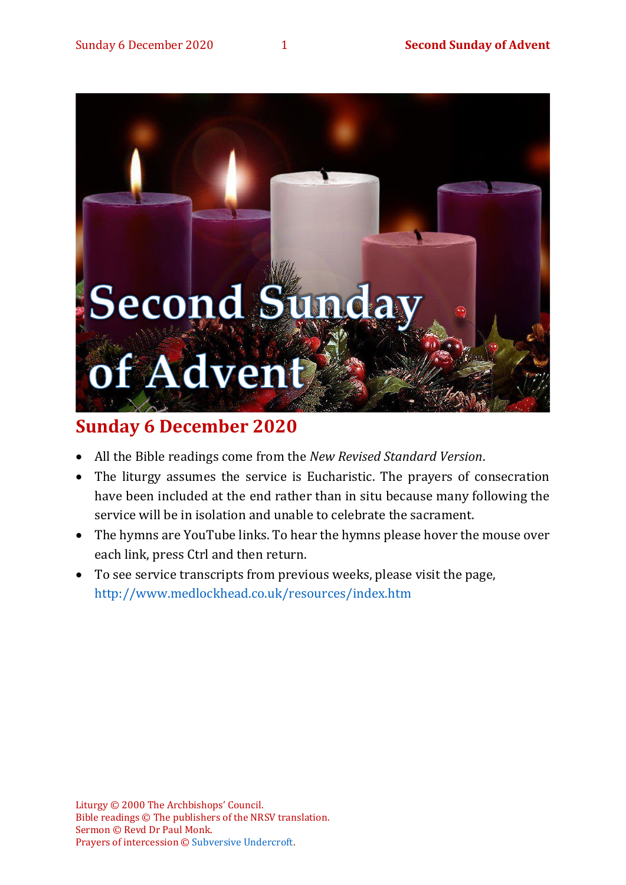

# **Sunday 6 December 2020**

- All the Bible readings come from the *New Revised Standard Version*.
- The liturgy assumes the service is Eucharistic. The prayers of consecration have been included at the end rather than in situ because many following the service will be in isolation and unable to celebrate the sacrament.
- The hymns are YouTube links. To hear the hymns please hover the mouse over each link, press Ctrl and then return.
- To see service transcripts from previous weeks, please visit the page, <http://www.medlockhead.co.uk/resources/index.htm>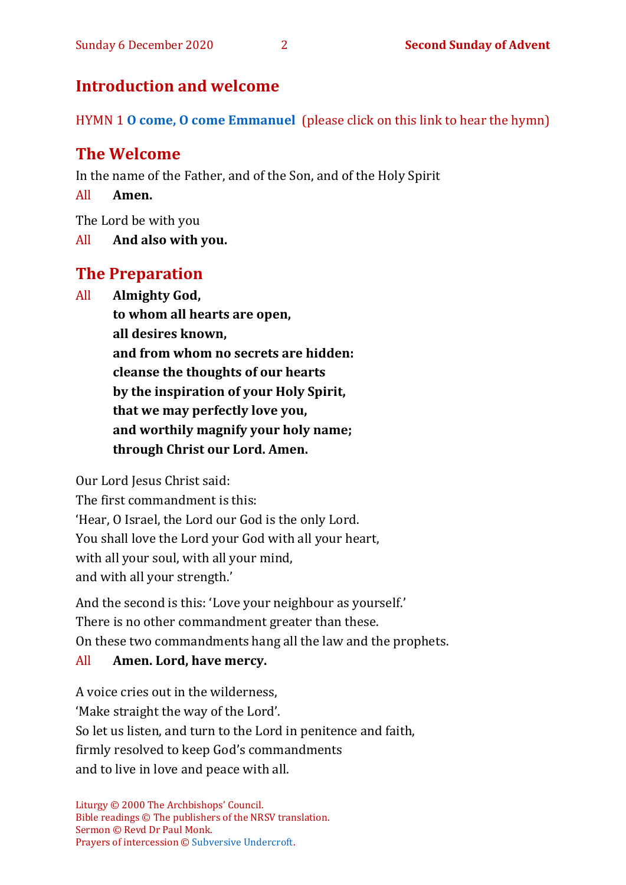## **Introduction and welcome**

HYMN 1 **[O come, O come Emmanuel](https://www.youtube.com/watch?v=DPHh3nMMu-I)** (please click on this link to hear the hymn)

# **The Welcome**

In the name of the Father, and of the Son, and of the Holy Spirit

All **Amen.**

The Lord be with you

All **And also with you.**

## **The Preparation**

All **Almighty God,**

**to whom all hearts are open, all desires known, and from whom no secrets are hidden: cleanse the thoughts of our hearts by the inspiration of your Holy Spirit, that we may perfectly love you, and worthily magnify your holy name; through Christ our Lord. Amen.**

Our Lord Jesus Christ said:

The first commandment is this: 'Hear, O Israel, the Lord our God is the only Lord. You shall love the Lord your God with all your heart, with all your soul, with all your mind, and with all your strength.'

And the second is this: 'Love your neighbour as yourself.' There is no other commandment greater than these. On these two commandments hang all the law and the prophets.

## All **Amen. Lord, have mercy.**

A voice cries out in the wilderness, 'Make straight the way of the Lord'. So let us listen, and turn to the Lord in penitence and faith, firmly resolved to keep God's commandments and to live in love and peace with all.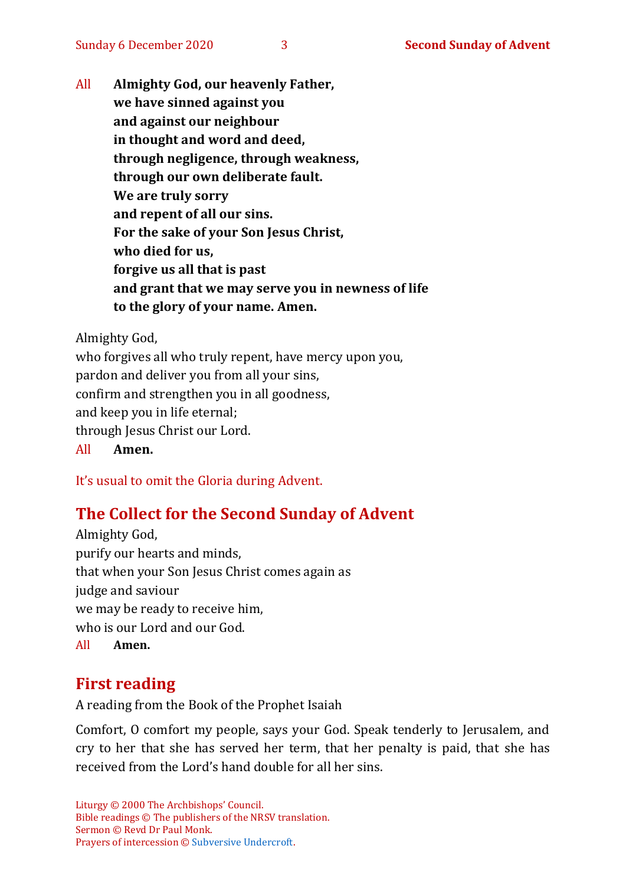All **Almighty God, our heavenly Father, we have sinned against you and against our neighbour in thought and word and deed, through negligence, through weakness, through our own deliberate fault. We are truly sorry and repent of all our sins. For the sake of your Son Jesus Christ, who died for us, forgive us all that is past and grant that we may serve you in newness of life to the glory of your name. Amen.**

Almighty God,

who forgives all who truly repent, have mercy upon you, pardon and deliver you from all your sins, confirm and strengthen you in all goodness, and keep you in life eternal; through Jesus Christ our Lord. All **Amen.**

It's usual to omit the Gloria during Advent.

## **The Collect for the Second Sunday of Advent**

Almighty God, purify our hearts and minds, that when your Son Jesus Christ comes again as judge and saviour we may be ready to receive him, who is our Lord and our God. All **Amen.**

## **First reading**

A reading from the Book of the Prophet Isaiah

Comfort, O comfort my people, says your God. Speak tenderly to Jerusalem, and cry to her that she has served her term, that her penalty is paid, that she has received from the Lord's hand double for all her sins.

Liturgy © 2000 The Archbishops' Council. Bible readings © The publishers of the NRSV translation. Sermon © Revd Dr Paul Monk. Prayers of intercession © [Subversive Undercroft.](https://www.subversiveundercroft.org/page/17)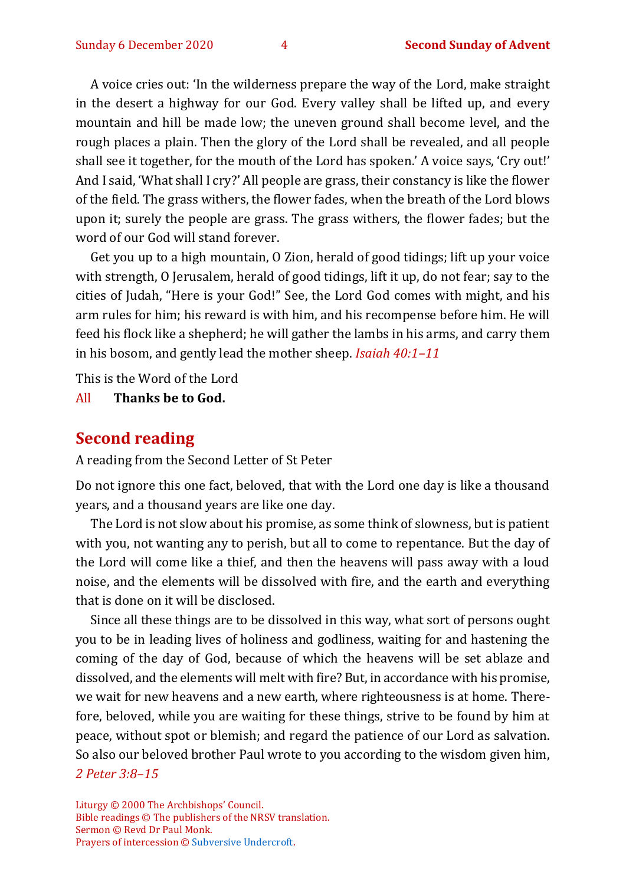A voice cries out: 'In the wilderness prepare the way of the Lord, make straight in the desert a highway for our God. Every valley shall be lifted up, and every mountain and hill be made low; the uneven ground shall become level, and the rough places a plain. Then the glory of the Lord shall be revealed, and all people shall see it together, for the mouth of the Lord has spoken.' A voice says, 'Cry out!' And I said, 'What shall I cry?' All people are grass, their constancy is like the flower of the field. The grass withers, the flower fades, when the breath of the Lord blows upon it; surely the people are grass. The grass withers, the flower fades; but the word of our God will stand forever.

Get you up to a high mountain, O Zion, herald of good tidings; lift up your voice with strength, O Jerusalem, herald of good tidings, lift it up, do not fear; say to the cities of Judah, "Here is your God!" See, the Lord God comes with might, and his arm rules for him; his reward is with him, and his recompense before him. He will feed his flock like a shepherd; he will gather the lambs in his arms, and carry them in his bosom, and gently lead the mother sheep. *Isaiah 40:1–11*

This is the Word of the Lord

All **Thanks be to God.**

#### **Second reading**

A reading from the Second Letter of St Peter

Do not ignore this one fact, beloved, that with the Lord one day is like a thousand years, and a thousand years are like one day.

The Lord is not slow about his promise, as some think of slowness, but is patient with you, not wanting any to perish, but all to come to repentance. But the day of the Lord will come like a thief, and then the heavens will pass away with a loud noise, and the elements will be dissolved with fire, and the earth and everything that is done on it will be disclosed.

Since all these things are to be dissolved in this way, what sort of persons ought you to be in leading lives of holiness and godliness, waiting for and hastening the coming of the day of God, because of which the heavens will be set ablaze and dissolved, and the elements will melt with fire? But, in accordance with his promise, we wait for new heavens and a new earth, where righteousness is at home. Therefore, beloved, while you are waiting for these things, strive to be found by him at peace, without spot or blemish; and regard the patience of our Lord as salvation. So also our beloved brother Paul wrote to you according to the wisdom given him, *2 Peter 3:8–15*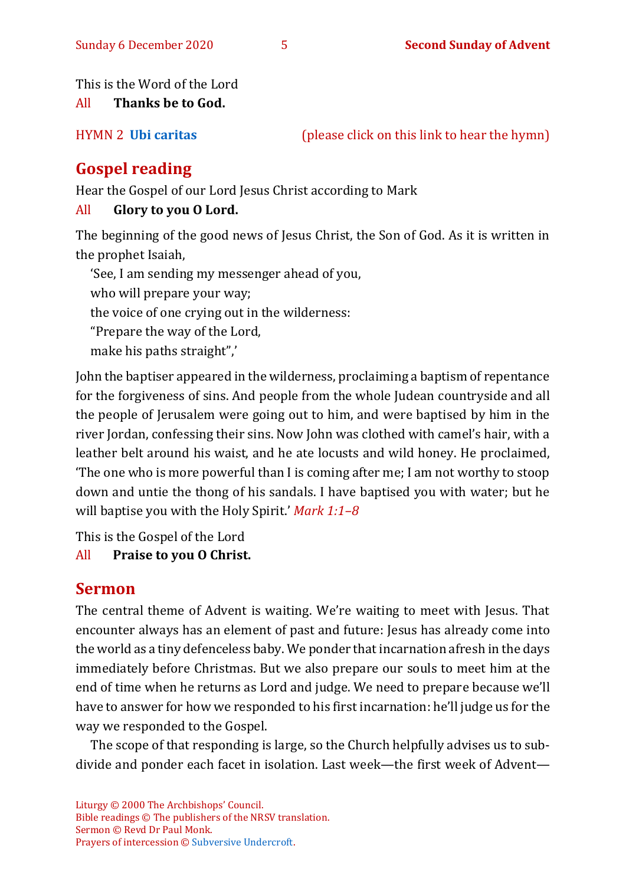This is the Word of the Lord

All **Thanks be to God.**

HYMN 2 **[Ubi caritas](https://www.youtube.com/watch?v=Vvfr_2euIFo)** (please click on this link to hear the hymn)

# **Gospel reading**

Hear the Gospel of our Lord Jesus Christ according to Mark

## All **Glory to you O Lord.**

The beginning of the good news of Jesus Christ, the Son of God. As it is written in the prophet Isaiah,

'See, I am sending my messenger ahead of you, who will prepare your way; the voice of one crying out in the wilderness: "Prepare the way of the Lord, make his paths straight",'

John the baptiser appeared in the wilderness, proclaiming a baptism of repentance for the forgiveness of sins. And people from the whole Judean countryside and all the people of Jerusalem were going out to him, and were baptised by him in the river Jordan, confessing their sins. Now John was clothed with camel's hair, with a leather belt around his waist, and he ate locusts and wild honey. He proclaimed, 'The one who is more powerful than I is coming after me; I am not worthy to stoop down and untie the thong of his sandals. I have baptised you with water; but he will baptise you with the Holy Spirit.' *Mark 1:1–8*

This is the Gospel of the Lord

## All **Praise to you O Christ.**

# **Sermon**

The central theme of Advent is waiting. We're waiting to meet with Jesus. That encounter always has an element of past and future: Jesus has already come into the world as a tiny defenceless baby. We ponder that incarnation afresh in the days immediately before Christmas. But we also prepare our souls to meet him at the end of time when he returns as Lord and judge. We need to prepare because we'll have to answer for how we responded to his first incarnation: he'll judge us for the way we responded to the Gospel.

The scope of that responding is large, so the Church helpfully advises us to subdivide and ponder each facet in isolation. Last week—the first week of Advent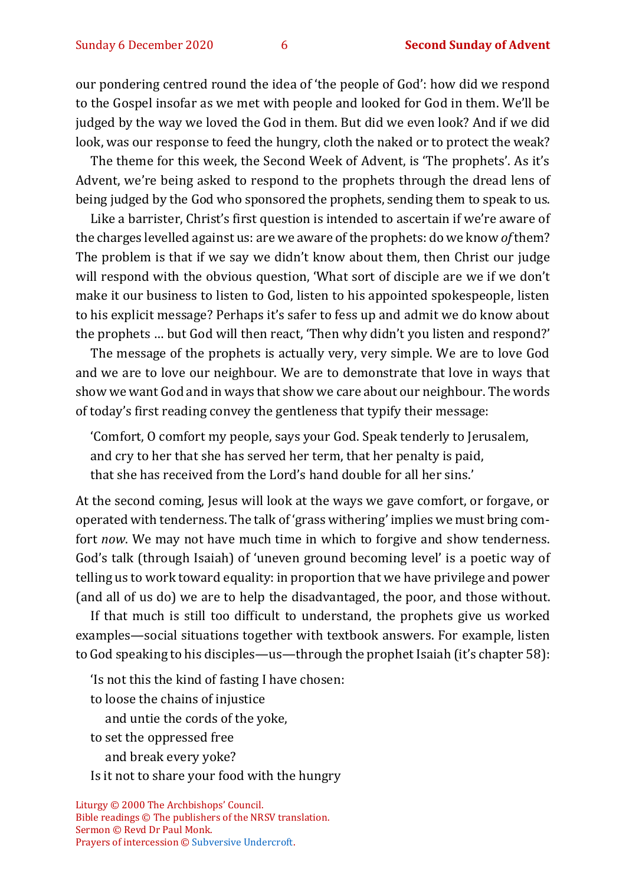our pondering centred round the idea of 'the people of God': how did we respond to the Gospel insofar as we met with people and looked for God in them. We'll be judged by the way we loved the God in them. But did we even look? And if we did look, was our response to feed the hungry, cloth the naked or to protect the weak?

The theme for this week, the Second Week of Advent, is 'The prophets'. As it's Advent, we're being asked to respond to the prophets through the dread lens of being judged by the God who sponsored the prophets, sending them to speak to us.

Like a barrister, Christ's first question is intended to ascertain if we're aware of the charges levelled against us: are we aware of the prophets: do we know *of* them? The problem is that if we say we didn't know about them, then Christ our judge will respond with the obvious question, 'What sort of disciple are we if we don't make it our business to listen to God, listen to his appointed spokespeople, listen to his explicit message? Perhaps it's safer to fess up and admit we do know about the prophets … but God will then react, 'Then why didn't you listen and respond?'

The message of the prophets is actually very, very simple. We are to love God and we are to love our neighbour. We are to demonstrate that love in ways that show we want God and in ways that show we care about our neighbour. The words of today's first reading convey the gentleness that typify their message:

'Comfort, O comfort my people, says your God. Speak tenderly to Jerusalem, and cry to her that she has served her term, that her penalty is paid, that she has received from the Lord's hand double for all her sins.'

At the second coming, Jesus will look at the ways we gave comfort, or forgave, or operated with tenderness. The talk of 'grass withering' implies we must bring comfort *now*. We may not have much time in which to forgive and show tenderness. God's talk (through Isaiah) of 'uneven ground becoming level' is a poetic way of telling us to work toward equality: in proportion that we have privilege and power (and all of us do) we are to help the disadvantaged, the poor, and those without.

If that much is still too difficult to understand, the prophets give us worked examples—social situations together with textbook answers. For example, listen to God speaking to his disciples—us—through the prophet Isaiah (it's chapter 58):

'Is not this the kind of fasting I have chosen: to loose the chains of injustice and untie the cords of the yoke, to set the oppressed free and break every yoke? Is it not to share your food with the hungry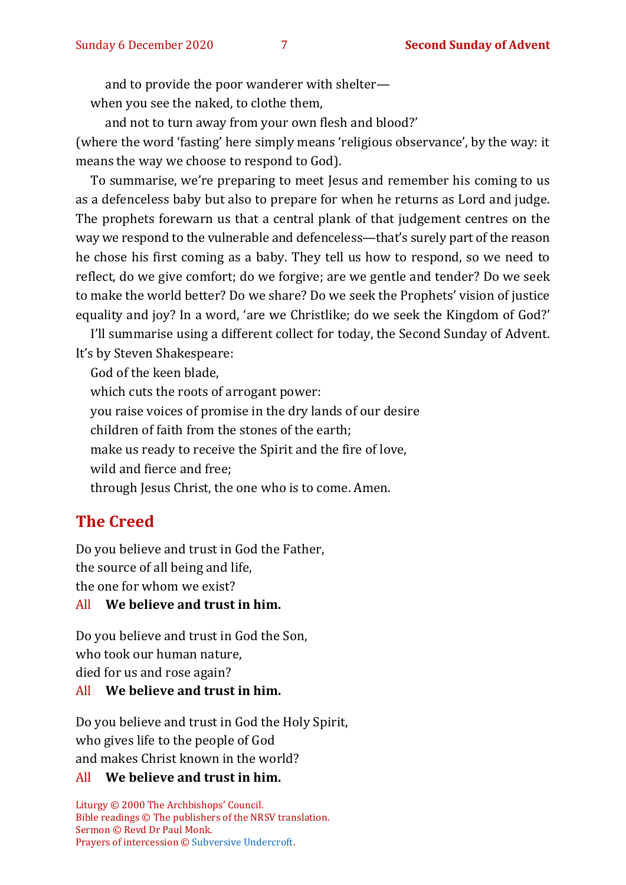and to provide the poor wanderer with shelter—

when you see the naked, to clothe them,

and not to turn away from your own flesh and blood?' (where the word 'fasting' here simply means 'religious observance', by the way: it means the way we choose to respond to God).

To summarise, we're preparing to meet Jesus and remember his coming to us as a defenceless baby but also to prepare for when he returns as Lord and judge. The prophets forewarn us that a central plank of that judgement centres on the way we respond to the vulnerable and defenceless—that's surely part of the reason he chose his first coming as a baby. They tell us how to respond, so we need to reflect, do we give comfort; do we forgive; are we gentle and tender? Do we seek to make the world better? Do we share? Do we seek the Prophets' vision of justice equality and joy? In a word, 'are we Christlike; do we seek the Kingdom of God?'

I'll summarise using a different collect for today, the Second Sunday of Advent. It's by Steven Shakespeare:

God of the keen blade,

which cuts the roots of arrogant power:

you raise voices of promise in the dry lands of our desire

children of faith from the stones of the earth;

make us ready to receive the Spirit and the fire of love,

wild and fierce and free;

through Jesus Christ, the one who is to come. Amen.

# **The Creed**

Do you believe and trust in God the Father, the source of all being and life,

the one for whom we exist?

#### All **We believe and trust in him.**

Do you believe and trust in God the Son, who took our human nature, died for us and rose again?

#### All **We believe and trust in him.**

Do you believe and trust in God the Holy Spirit, who gives life to the people of God and makes Christ known in the world?

#### All **We believe and trust in him.**

Liturgy © 2000 The Archbishops' Council. Bible readings © The publishers of the NRSV translation. Sermon © Revd Dr Paul Monk. Prayers of intercession © [Subversive Undercroft.](https://www.subversiveundercroft.org/page/17)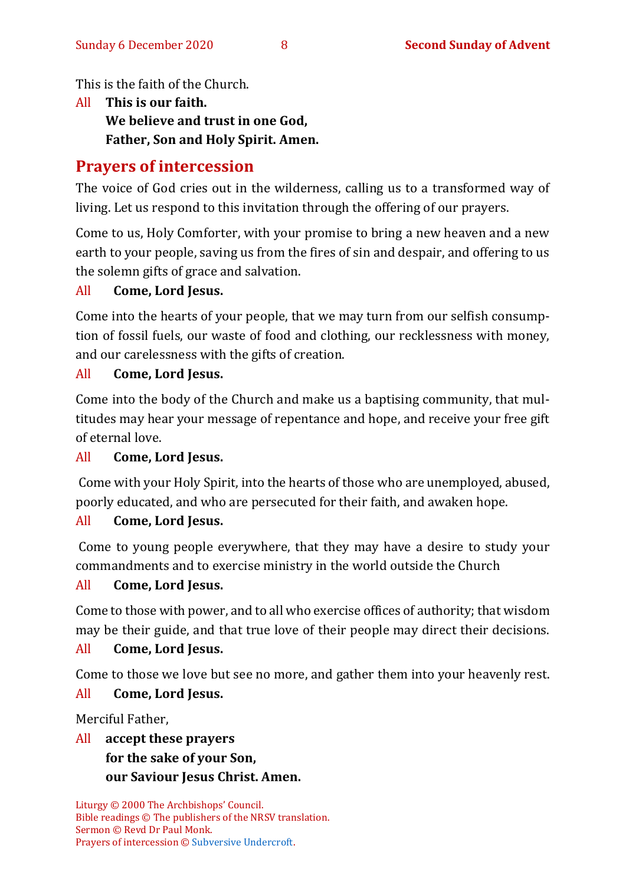This is the faith of the Church.

All **This is our faith. We believe and trust in one God, Father, Son and Holy Spirit. Amen.**

# **Prayers of intercession**

The voice of God cries out in the wilderness, calling us to a transformed way of living. Let us respond to this invitation through the offering of our prayers.

Come to us, Holy Comforter, with your promise to bring a new heaven and a new earth to your people, saving us from the fires of sin and despair, and offering to us the solemn gifts of grace and salvation.

#### All **Come, Lord Jesus.**

Come into the hearts of your people, that we may turn from our selfish consumption of fossil fuels, our waste of food and clothing, our recklessness with money, and our carelessness with the gifts of creation.

#### All **Come, Lord Jesus.**

Come into the body of the Church and make us a baptising community, that multitudes may hear your message of repentance and hope, and receive your free gift of eternal love.

## All **Come, Lord Jesus.**

Come with your Holy Spirit, into the hearts of those who are unemployed, abused, poorly educated, and who are persecuted for their faith, and awaken hope.

## All **Come, Lord Jesus.**

Come to young people everywhere, that they may have a desire to study your commandments and to exercise ministry in the world outside the Church

## All **Come, Lord Jesus.**

Come to those with power, and to all who exercise offices of authority; that wisdom may be their guide, and that true love of their people may direct their decisions.

## All **Come, Lord Jesus.**

Come to those we love but see no more, and gather them into your heavenly rest.

## All **Come, Lord Jesus.**

Merciful Father,

#### All **accept these prayers for the sake of your Son, our Saviour Jesus Christ. Amen.**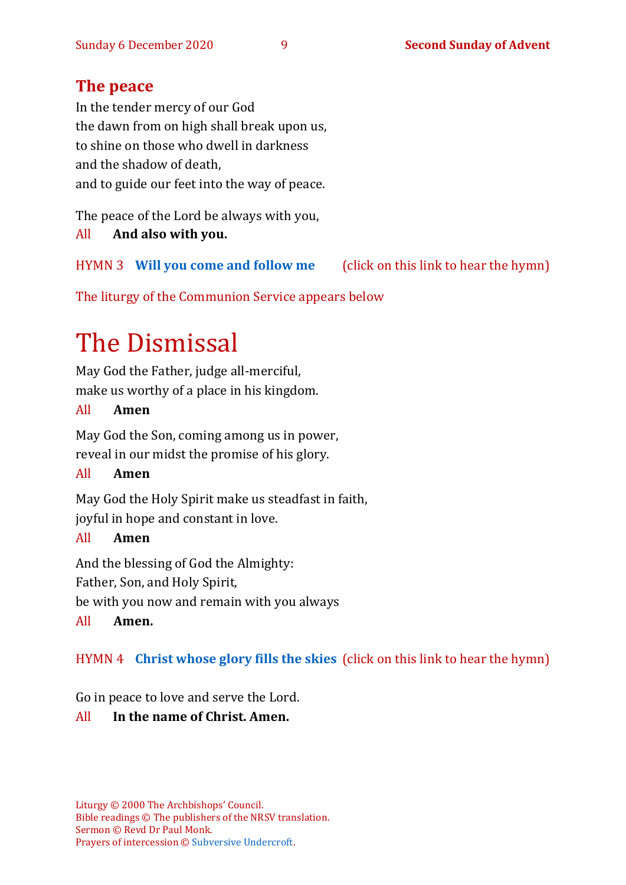## **The peace**

In the tender mercy of our God the dawn from on high shall break upon us, to shine on those who dwell in darkness and the shadow of death, and to guide our feet into the way of peace.

The peace of the Lord be always with you,

All **And also with you.**

HYMN 3 **[Will you come and follow me](https://www.youtube.com/watch?v=zk6IUalJ3sk)** (click on this link to hear the hymn)

The liturgy of the Communion Service appears below

# The Dismissal

May God the Father, judge all-merciful, make us worthy of a place in his kingdom.

#### All **Amen**

May God the Son, coming among us in power, reveal in our midst the promise of his glory.

#### All **Amen**

May God the Holy Spirit make us steadfast in faith, joyful in hope and constant in love.

#### All **Amen**

And the blessing of God the Almighty:

Father, Son, and Holy Spirit,

be with you now and remain with you always

#### All **Amen.**

## HYMN 4 **[Christ whose glory fills the skies](https://youtu.be/3qERUpcMxJU)** (click on this link to hear the hymn)

Go in peace to love and serve the Lord.

## All **In the name of Christ. Amen.**

Liturgy © 2000 The Archbishops' Council. Bible readings © The publishers of the NRSV translation. Sermon © Revd Dr Paul Monk. Prayers of intercession © [Subversive Undercroft.](https://www.subversiveundercroft.org/page/17)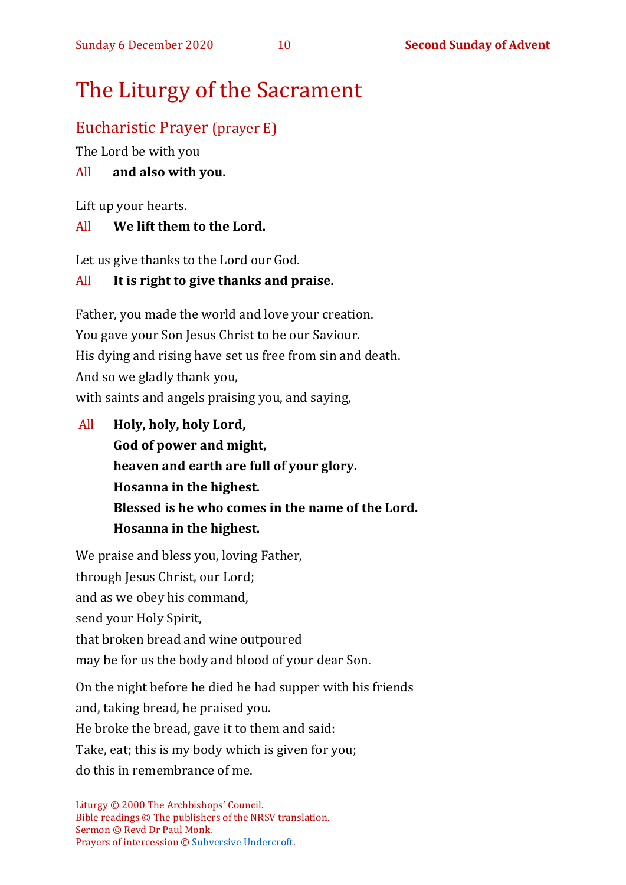# The Liturgy of the Sacrament

# Eucharistic Prayer (prayer E)

The Lord be with you

## All **and also with you.**

Lift up your hearts.

## All **We lift them to the Lord.**

Let us give thanks to the Lord our God.

## All **It is right to give thanks and praise.**

Father, you made the world and love your creation. You gave your Son Jesus Christ to be our Saviour. His dying and rising have set us free from sin and death. And so we gladly thank you, with saints and angels praising you, and saying,

All **Holy, holy, holy Lord, God of power and might, heaven and earth are full of your glory. Hosanna in the highest. Blessed is he who comes in the name of the Lord. Hosanna in the highest.**

We praise and bless you, loving Father, through Jesus Christ, our Lord; and as we obey his command, send your Holy Spirit, that broken bread and wine outpoured may be for us the body and blood of your dear Son. On the night before he died he had supper with his friends and, taking bread, he praised you.

He broke the bread, gave it to them and said:

Take, eat; this is my body which is given for you;

do this in remembrance of me.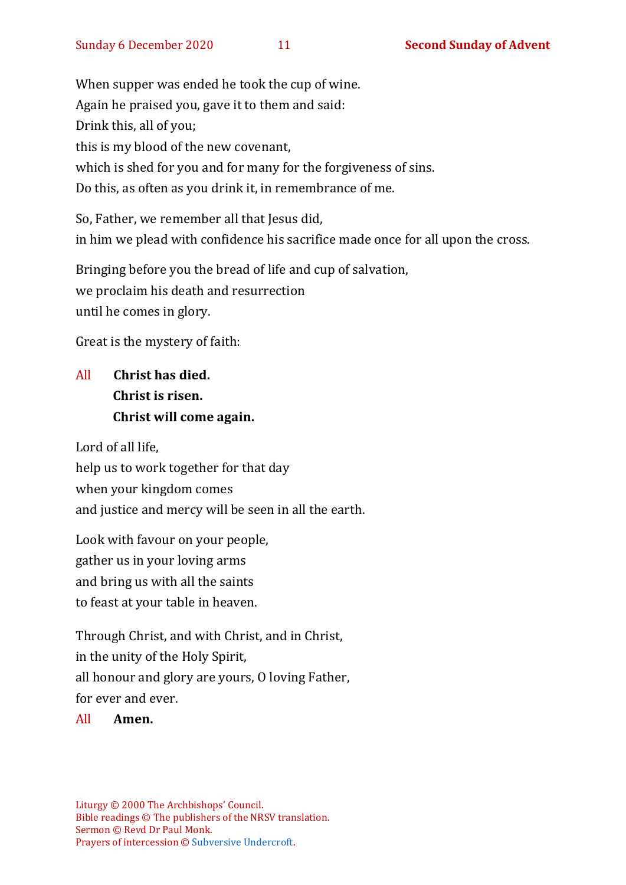When supper was ended he took the cup of wine. Again he praised you, gave it to them and said: Drink this, all of you; this is my blood of the new covenant, which is shed for you and for many for the forgiveness of sins. Do this, as often as you drink it, in remembrance of me.

So, Father, we remember all that Jesus did, in him we plead with confidence his sacrifice made once for all upon the cross.

Bringing before you the bread of life and cup of salvation, we proclaim his death and resurrection until he comes in glory.

Great is the mystery of faith:

# All **Christ has died. Christ is risen. Christ will come again.**

Lord of all life, help us to work together for that day when your kingdom comes and justice and mercy will be seen in all the earth.

Look with favour on your people, gather us in your loving arms and bring us with all the saints to feast at your table in heaven.

Through Christ, and with Christ, and in Christ, in the unity of the Holy Spirit, all honour and glory are yours, O loving Father, for ever and ever.

All **Amen.**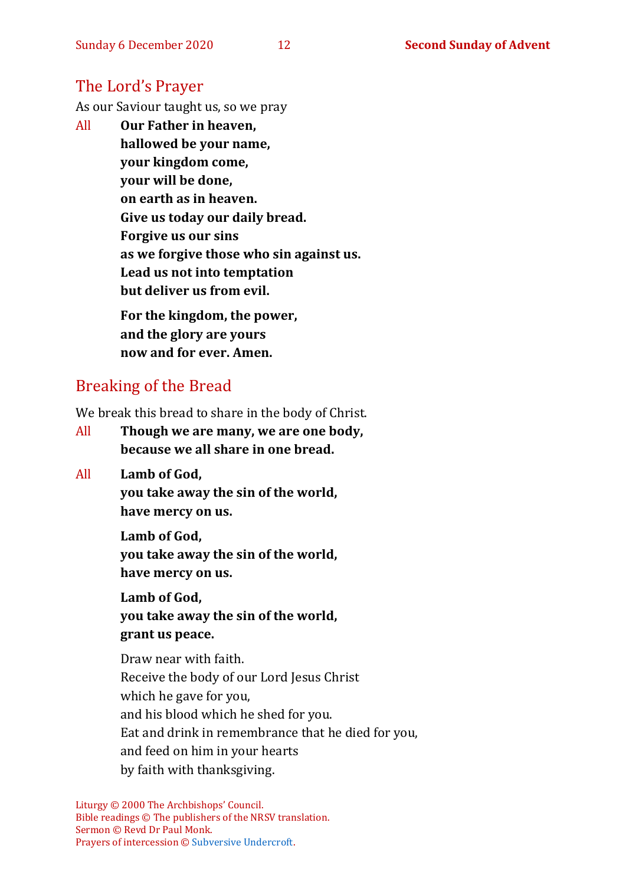## The Lord's Prayer

As our Saviour taught us, so we pray

All **Our Father in heaven, hallowed be your name, your kingdom come, your will be done, on earth as in heaven. Give us today our daily bread. Forgive us our sins as we forgive those who sin against us. Lead us not into temptation but deliver us from evil. For the kingdom, the power,** 

**and the glory are yours now and for ever. Amen.**

# Breaking of the Bread

We break this bread to share in the body of Christ.

- All **Though we are many, we are one body, because we all share in one bread.**
- All **Lamb of God, you take away the sin of the world, have mercy on us.**

**Lamb of God, you take away the sin of the world, have mercy on us.**

**Lamb of God, you take away the sin of the world, grant us peace.**

Draw near with faith. Receive the body of our Lord Jesus Christ which he gave for you, and his blood which he shed for you. Eat and drink in remembrance that he died for you, and feed on him in your hearts by faith with thanksgiving.